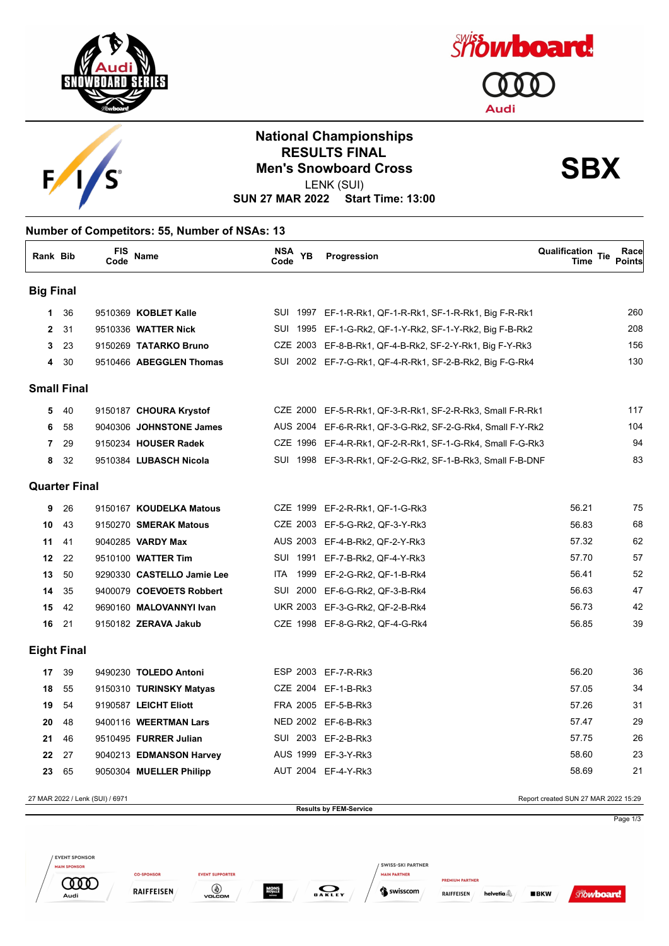





## **National Championships RESULTS FINAL<br>Men's Snowboard Cross**<br> **SBX** LENK (SUI)

**SUN 27 MAR 2022 Start Time: 13:00**

## **Number of Competitors: 55, Number of NSAs: 13**

| Rank Bib         |                      | <b>FIS</b><br>Code | <b>Name</b>                | NSA YB<br>Code |      | Progression                                                | <b>Qualification Tie</b><br>Time | Race<br><b>Points</b> |
|------------------|----------------------|--------------------|----------------------------|----------------|------|------------------------------------------------------------|----------------------------------|-----------------------|
| <b>Big Final</b> |                      |                    |                            |                |      |                                                            |                                  |                       |
| 1                | 36                   |                    | 9510369 KOBLET Kalle       |                |      | SUI 1997 EF-1-R-Rk1, QF-1-R-Rk1, SF-1-R-Rk1, Big F-R-Rk1   |                                  | <b>260</b>            |
| $\mathbf{2}$     | 31                   |                    | 9510336 WATTER Nick        |                |      | SUI 1995 EF-1-G-Rk2, QF-1-Y-Rk2, SF-1-Y-Rk2, Big F-B-Rk2   |                                  | 208                   |
| 3                | 23                   |                    | 9150269 TATARKO Bruno      |                |      | CZE 2003 EF-8-B-Rk1, QF-4-B-Rk2, SF-2-Y-Rk1, Big F-Y-Rk3   |                                  | 156                   |
| 4                | 30                   |                    | 9510466 ABEGGLEN Thomas    |                |      | SUI 2002 EF-7-G-Rk1, QF-4-R-Rk1, SF-2-B-Rk2, Big F-G-Rk4   |                                  | 13C                   |
|                  | <b>Small Final</b>   |                    |                            |                |      |                                                            |                                  |                       |
| 5                | 40                   |                    | 9150187 CHOURA Krystof     |                |      | CZE 2000 EF-5-R-Rk1, QF-3-R-Rk1, SF-2-R-Rk3, Small F-R-Rk1 |                                  | 117                   |
| 6                | 58                   |                    | 9040306 JOHNSTONE James    |                |      | AUS 2004 EF-6-R-Rk1, QF-3-G-Rk2, SF-2-G-Rk4, Small F-Y-Rk2 |                                  | 104                   |
| 7                | 29                   |                    | 9150234 HOUSER Radek       |                |      | CZE 1996 EF-4-R-Rk1, QF-2-R-Rk1, SF-1-G-Rk4, Small F-G-Rk3 |                                  | 94                    |
| 8                | 32                   |                    | 9510384 LUBASCH Nicola     |                |      | SUI 1998 EF-3-R-Rk1, QF-2-G-Rk2, SF-1-B-Rk3, Small F-B-DNF |                                  | 83                    |
|                  | <b>Quarter Final</b> |                    |                            |                |      |                                                            |                                  |                       |
| 9                | 26                   |                    | 9150167 KOUDELKA Matous    |                |      | CZE 1999 EF-2-R-Rk1, QF-1-G-Rk3                            | 56.21                            | 75                    |
| 10               | 43                   |                    | 9150270 SMERAK Matous      |                |      | CZE 2003 EF-5-G-Rk2, QF-3-Y-Rk3                            | 56.83                            | 68                    |
| 11               | 41                   |                    | 9040285 VARDY Max          |                |      | AUS 2003 EF-4-B-Rk2, QF-2-Y-Rk3                            | 57.32                            | 62                    |
| 12               | 22                   |                    | 9510100 WATTER Tim         | SUI 1991       |      | EF-7-B-Rk2, QF-4-Y-Rk3                                     | 57.70                            | 57                    |
| 13               | 50                   |                    | 9290330 CASTELLO Jamie Lee | ITA.           | 1999 | EF-2-G-Rk2, QF-1-B-Rk4                                     | 56.41                            | 52                    |
| 14               | 35                   |                    | 9400079 COEVOETS Robbert   | SUI 2000       |      | EF-6-G-Rk2, QF-3-B-Rk4                                     | 56.63                            | 47                    |
| 15               | 42                   |                    | 9690160 MALOVANNYI Ivan    |                |      | UKR 2003 EF-3-G-Rk2, QF-2-B-Rk4                            | 56.73                            | 42                    |
| 16               | 21                   |                    | 9150182 ZERAVA Jakub       |                |      | CZE 1998 EF-8-G-Rk2, QF-4-G-Rk4                            | 56.85                            | 39                    |
|                  | <b>Eight Final</b>   |                    |                            |                |      |                                                            |                                  |                       |
| 17               | 39                   |                    | 9490230 TOLEDO Antoni      |                |      | ESP 2003 EF-7-R-Rk3                                        | 56.20                            | 36                    |
| 18               | 55                   |                    | 9150310 TURINSKY Matyas    |                |      | CZE 2004 EF-1-B-Rk3                                        | 57.05                            | 34                    |
| 19               | 54                   |                    | 9190587 LEICHT Eliott      |                |      | FRA 2005 EF-5-B-Rk3                                        | 57.26                            | 31                    |
| 20               | 48                   |                    | 9400116 WEERTMAN Lars      |                |      | NED 2002 EF-6-B-Rk3                                        | 57.47                            | 2g                    |
| 21               | 46                   |                    | 9510495 FURRER Julian      |                |      | SUI 2003 EF-2-B-Rk3                                        | 57.75                            | 26                    |
| 22               | 27                   |                    | 9040213 EDMANSON Harvey    |                |      | AUS 1999 EF-3-Y-Rk3                                        | 58.60                            | 23                    |
| 23               | 65                   |                    | 9050304 MUELLER Philipp    |                |      | AUT 2004 EF-4-Y-Rk3                                        | 58.69                            | 21                    |
|                  |                      |                    |                            |                |      |                                                            |                                  |                       |

27 MAR 2022 / Lenk (SUI) / 6971 Report created SUN 27 MAR 2022 15:29 **Results by FEM-Service** Page 1/3 EVENT SPONSOR SWISS-SKI PARTNER **MAIN SPONSOR** 

 $\sum_{\mathbf{0} \text{ A} \text{ K} \text{ L} \text{ E} \text{Y}}$ 

**MAIN PARTNER** 

Swisscom

RAIFFEISEN

helvetia $\mathbb{\mathbb{A}}$ 

 $BKN$ 

**Showboard** 

**EVENT SUPPORTER** 

 $\bigcirc$  volcom

**MONS**<br>ROYALE

**CO-SPONSOR** 

**RAIFFEISEN** 

**COOD** 

Audi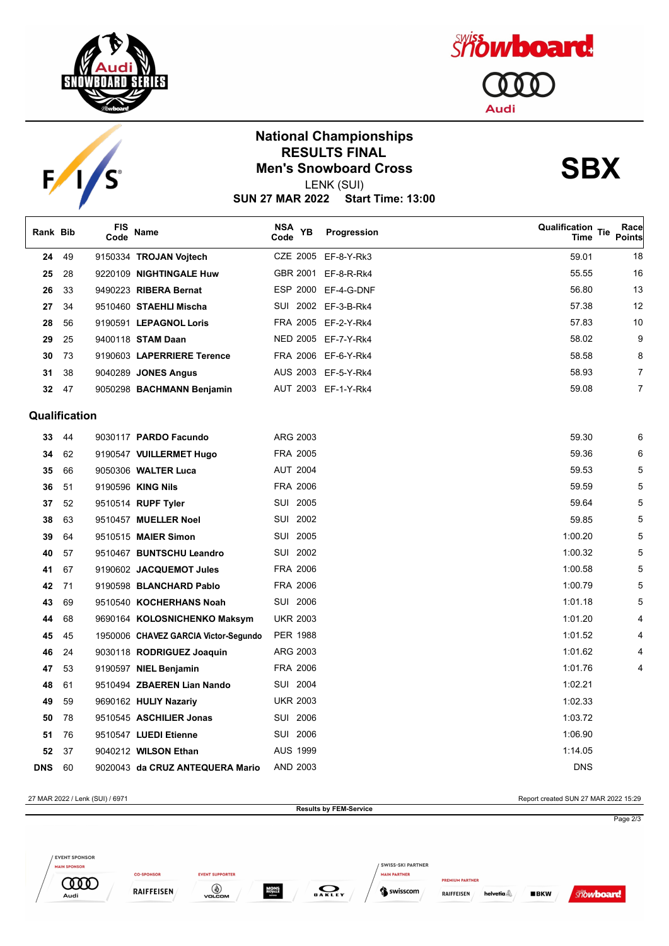



## **National Championships RESULTS FINAL<br>Men's Snowboard Cross**<br> **SBX**

*Showboard* 

Т

**Audi** 

LENK (SUI)

**SUN 27 MAR 2022 Start Time: 13:00**

| Rank Bib   |               | FIS<br>Code | Name                                 | NSA<br><b>YB</b><br>Code | Progression         | Qualification Tie<br><b>Time</b> | Race<br><b>Points</b> |
|------------|---------------|-------------|--------------------------------------|--------------------------|---------------------|----------------------------------|-----------------------|
| 24         | 49            |             | 9150334 TROJAN Vojtech               |                          | CZE 2005 EF-8-Y-Rk3 | 59.01                            | 18                    |
| 25         | 28            |             | 9220109 NIGHTINGALE Huw              | GBR 2001                 | EF-8-R-Rk4          | 55.55                            | 16                    |
| 26         | 33            |             | 9490223 RIBERA Bernat                |                          | ESP 2000 EF-4-G-DNF | 56.80                            | 13                    |
| 27         | 34            |             | 9510460 STAEHLI Mischa               |                          | SUI 2002 EF-3-B-Rk4 | 57.38                            | 12                    |
| 28         | 56            |             | 9190591 LEPAGNOL Loris               |                          | FRA 2005 EF-2-Y-Rk4 | 57.83                            | 10                    |
| 29         | 25            |             | 9400118 STAM Daan                    |                          | NED 2005 EF-7-Y-Rk4 | 58.02                            | g                     |
| 30         | 73            |             | 9190603 LAPERRIERE Terence           |                          | FRA 2006 EF-6-Y-Rk4 | 58.58                            | 8                     |
| 31         | 38            |             | 9040289 JONES Angus                  |                          | AUS 2003 EF-5-Y-Rk4 | 58.93                            | 7                     |
| 32         | 47            |             | 9050298 BACHMANN Benjamin            |                          | AUT 2003 EF-1-Y-Rk4 | 59.08                            | 7                     |
|            | Qualification |             |                                      |                          |                     |                                  |                       |
| 33         | 44            |             | 9030117 PARDO Facundo                | ARG 2003                 |                     | 59.30                            | Е                     |
| 34         | 62            |             | 9190547 VUILLERMET Hugo              | FRA 2005                 |                     | 59.36                            | Е                     |
| 35         | 66            |             | 9050306 WALTER Luca                  | <b>AUT 2004</b>          |                     | 59.53                            |                       |
| 36         | 51            |             | 9190596 KING Nils                    | FRA 2006                 |                     | 59.59                            |                       |
| 37         | 52            |             | 9510514 RUPF Tyler                   | SUI 2005                 |                     | 59.64                            |                       |
| 38         | 63            |             | 9510457 MUELLER Noel                 | SUI 2002                 |                     | 59.85                            |                       |
| 39         | 64            |             | 9510515 MAIER Simon                  | SUI 2005                 |                     | 1:00.20                          |                       |
| 40         | 57            |             | 9510467 BUNTSCHU Leandro             | SUI 2002                 |                     | 1:00.32                          |                       |
| 41         | 67            |             | 9190602 JACQUEMOT Jules              | FRA 2006                 |                     | 1:00.58                          |                       |
| 42         | 71            |             | 9190598 BLANCHARD Pablo              | FRA 2006                 |                     | 1:00.79                          |                       |
| 43         | 69            |             | 9510540 KOCHERHANS Noah              | SUI 2006                 |                     | 1:01.18                          |                       |
| 44         | 68            |             | 9690164 KOLOSNICHENKO Maksym         | <b>UKR 2003</b>          |                     | 1:01.20                          |                       |
| 45         | 45            |             | 1950006 CHAVEZ GARCIA Victor-Segundo | <b>PER 1988</b>          |                     | 1:01.52                          |                       |
| 46         | 24            |             | 9030118 RODRIGUEZ Joaquin            | ARG 2003                 |                     | 1:01.62                          |                       |
| 47         | 53            |             | 9190597 NIEL Benjamin                | FRA 2006                 |                     | 1:01.76                          |                       |
| 48         | 61            |             | 9510494 ZBAEREN Lian Nando           | SUI 2004                 |                     | 1:02.21                          |                       |
| 49         | 59            |             | 9690162 HULIY Nazariy                | <b>UKR 2003</b>          |                     | 1:02.33                          |                       |
| 50         | 78            |             | 9510545 ASCHILIER Jonas              | SUI 2006                 |                     | 1:03.72                          |                       |
| 51         | 76            |             | 9510547 LUEDI Etienne                | SUI 2006                 |                     | 1:06.90                          |                       |
| 52         | 37            |             | 9040212 WILSON Ethan                 | <b>AUS 1999</b>          |                     | 1:14.05                          |                       |
| <b>DNS</b> | 60            |             | 9020043 da CRUZ ANTEQUERA Mario      | AND 2003                 |                     | <b>DNS</b>                       |                       |

27 MAR 2022 / Lenk (SUI) / 6971 Report created SUN 27 MAR 2022 15:29 **Results by FEM-Service** Page 2/3EVENT SPONSOR SWISS-SKI PARTNER **MAIN SPONSOR CO-SPONSOR EVENT SUPPORTER MAIN PARTNER COOD**  $\bigcirc$ **MONS**<br>ROYALE  $\sum_{\mathbf{0} \text{ A} \text{ K} \text{ L} \text{ E} \text{Y}}$ RAIFFEISEN Swisscom **Showboard** RAIFFEISEN helvetia $\mathbb{\mathbb{A}}$  $BKN$ Audi